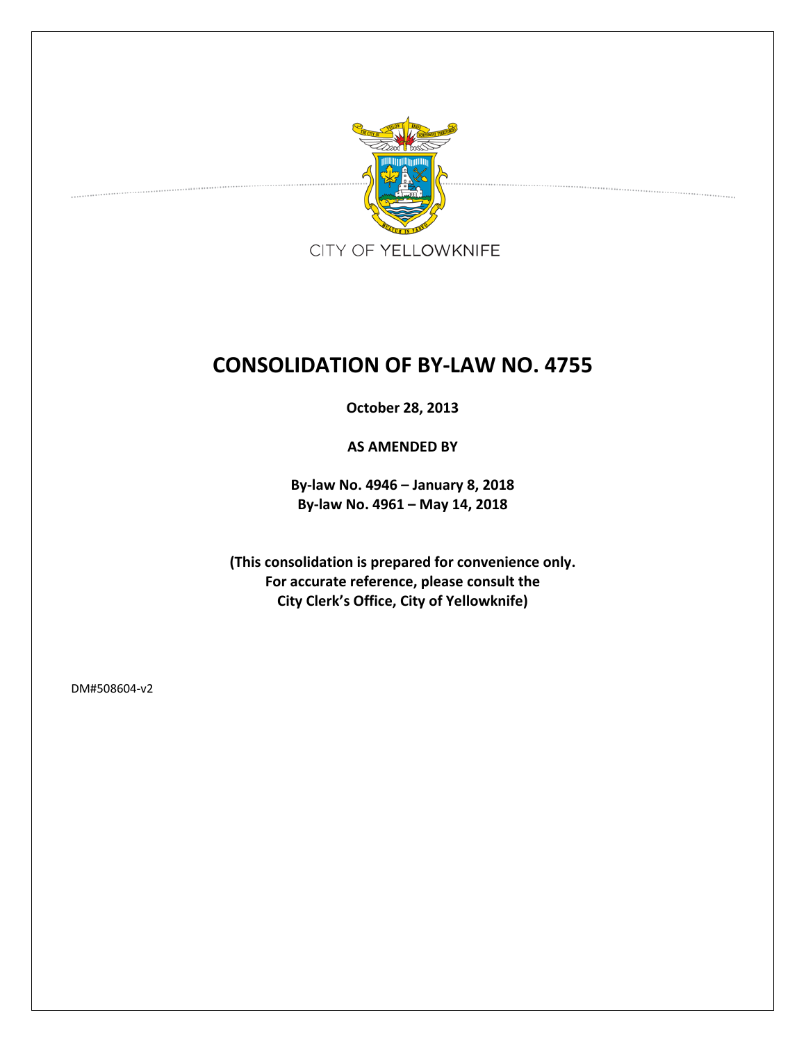

# **CONSOLIDATION OF BY-LAW NO. 4755**

**October 28, 2013**

**AS AMENDED BY**

**By-law No. 4946 – January 8, 2018 By-law No. 4961 – May 14, 2018**

**(This consolidation is prepared for convenience only. For accurate reference, please consult the City Clerk's Office, City of Yellowknife)**

DM#508604-v2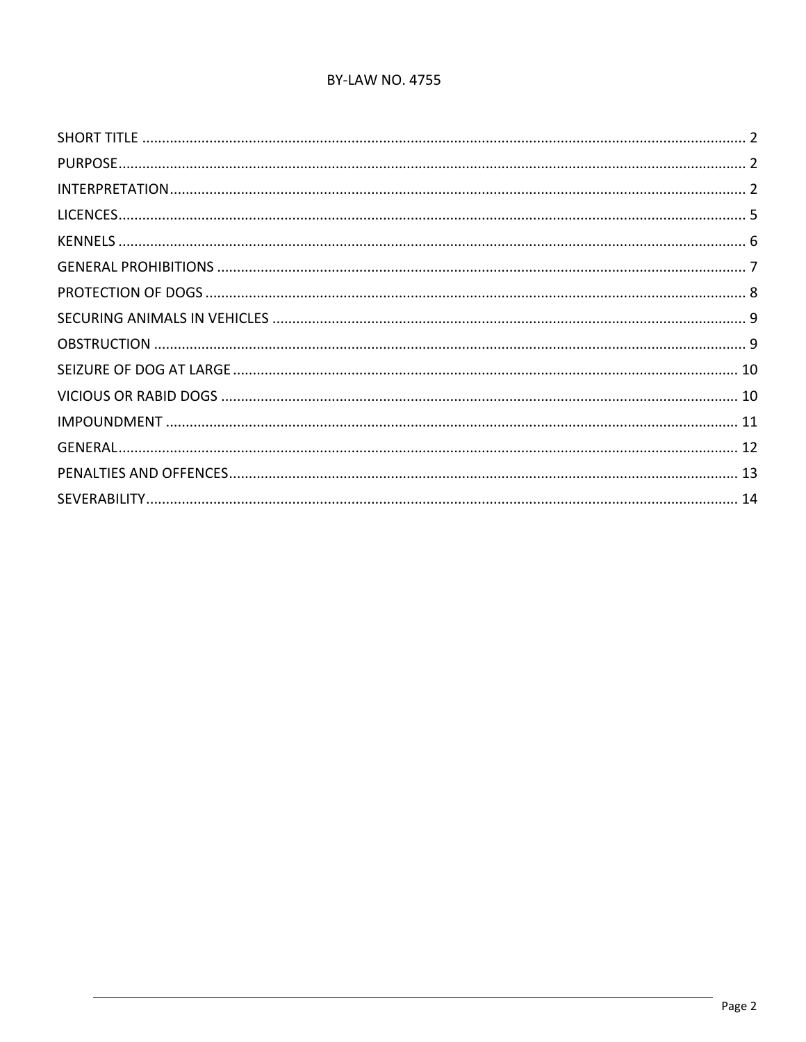## **BY-LAW NO. 4755**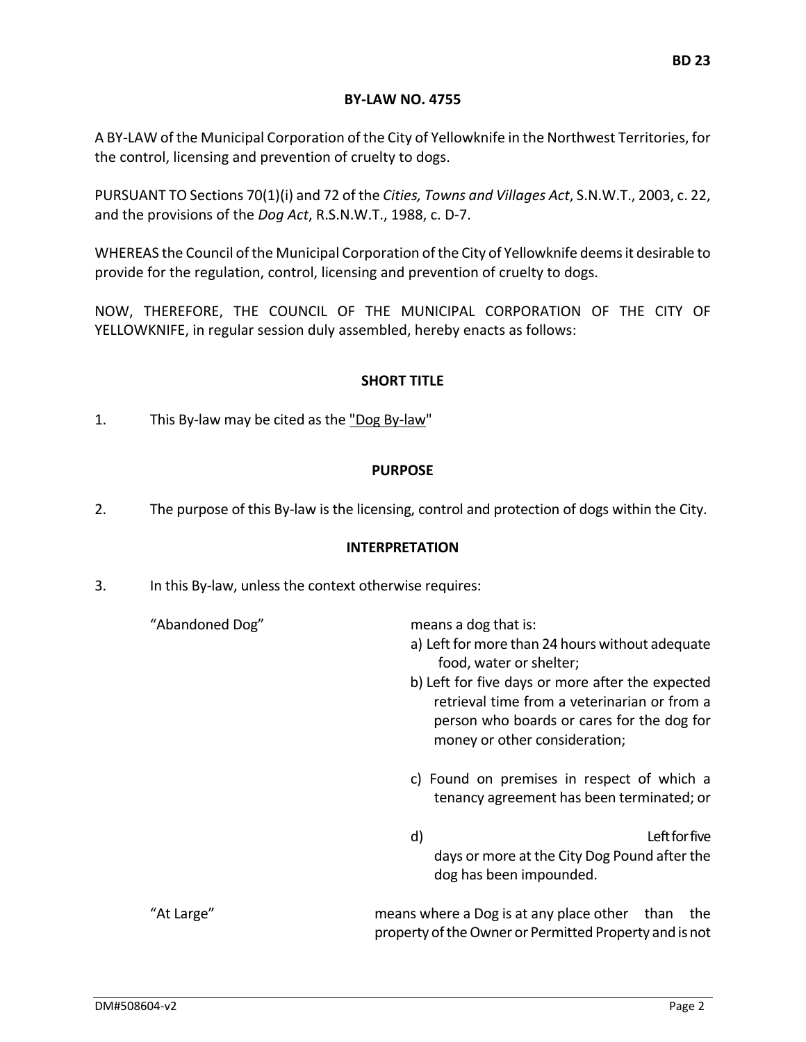#### **BY-LAW NO. 4755**

A BY-LAW of the Municipal Corporation of the City of Yellowknife in the Northwest Territories, for the control, licensing and prevention of cruelty to dogs.

PURSUANT TO Sections 70(1)(i) and 72 of the *Cities, Towns and Villages Act*, S.N.W.T., 2003, c. 22, and the provisions of the *Dog Act*, R.S.N.W.T., 1988, c. D-7.

WHEREAS the Council of the Municipal Corporation of the City of Yellowknife deems it desirable to provide for the regulation, control, licensing and prevention of cruelty to dogs.

<span id="page-2-0"></span>NOW, THEREFORE, THE COUNCIL OF THE MUNICIPAL CORPORATION OF THE CITY OF YELLOWKNIFE, in regular session duly assembled, hereby enacts as follows:

## **SHORT TITLE**

<span id="page-2-1"></span>1. This By-law may be cited as the "Dog By-law"

## **PURPOSE**

<span id="page-2-2"></span>2. The purpose of this By-law is the licensing, control and protection of dogs within the City.

#### **INTERPRETATION**

3. In this By-law, unless the context otherwise requires:

| "Abandoned Dog" | means a dog that is:<br>a) Left for more than 24 hours without adequate<br>food, water or shelter;<br>b) Left for five days or more after the expected<br>retrieval time from a veterinarian or from a<br>person who boards or cares for the dog for<br>money or other consideration; |
|-----------------|---------------------------------------------------------------------------------------------------------------------------------------------------------------------------------------------------------------------------------------------------------------------------------------|
|                 | c) Found on premises in respect of which a<br>tenancy agreement has been terminated; or                                                                                                                                                                                               |
|                 | Left for five<br>d)<br>days or more at the City Dog Pound after the<br>dog has been impounded.                                                                                                                                                                                        |
| "At Large"      | means where a Dog is at any place other<br>than<br>the<br>property of the Owner or Permitted Property and is not                                                                                                                                                                      |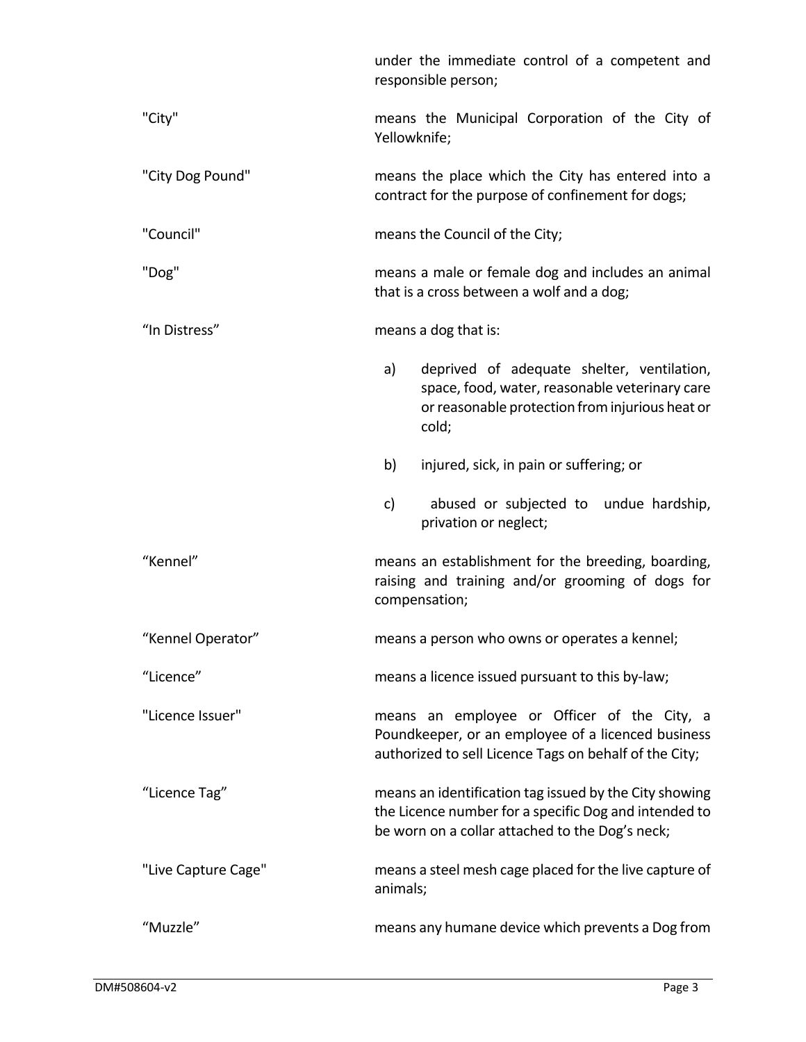|                     | under the immediate control of a competent and<br>responsible person;                                                                                              |  |  |
|---------------------|--------------------------------------------------------------------------------------------------------------------------------------------------------------------|--|--|
| "City"              | means the Municipal Corporation of the City of<br>Yellowknife;                                                                                                     |  |  |
| "City Dog Pound"    | means the place which the City has entered into a<br>contract for the purpose of confinement for dogs;                                                             |  |  |
| "Council"           | means the Council of the City;                                                                                                                                     |  |  |
| "Dog"               | means a male or female dog and includes an animal<br>that is a cross between a wolf and a dog;                                                                     |  |  |
| "In Distress"       | means a dog that is:                                                                                                                                               |  |  |
|                     | a)<br>deprived of adequate shelter, ventilation,<br>space, food, water, reasonable veterinary care<br>or reasonable protection from injurious heat or<br>cold;     |  |  |
|                     | b)<br>injured, sick, in pain or suffering; or                                                                                                                      |  |  |
|                     | c)<br>abused or subjected to undue hardship,<br>privation or neglect;                                                                                              |  |  |
| "Kennel"            | means an establishment for the breeding, boarding,<br>raising and training and/or grooming of dogs for<br>compensation;                                            |  |  |
| "Kennel Operator"   | means a person who owns or operates a kennel;                                                                                                                      |  |  |
| "Licence"           | means a licence issued pursuant to this by-law;                                                                                                                    |  |  |
| "Licence Issuer"    | means an employee or Officer of the City, a<br>Poundkeeper, or an employee of a licenced business<br>authorized to sell Licence Tags on behalf of the City;        |  |  |
| "Licence Tag"       | means an identification tag issued by the City showing<br>the Licence number for a specific Dog and intended to<br>be worn on a collar attached to the Dog's neck; |  |  |
| "Live Capture Cage" | means a steel mesh cage placed for the live capture of<br>animals;                                                                                                 |  |  |
| "Muzzle"            | means any humane device which prevents a Dog from                                                                                                                  |  |  |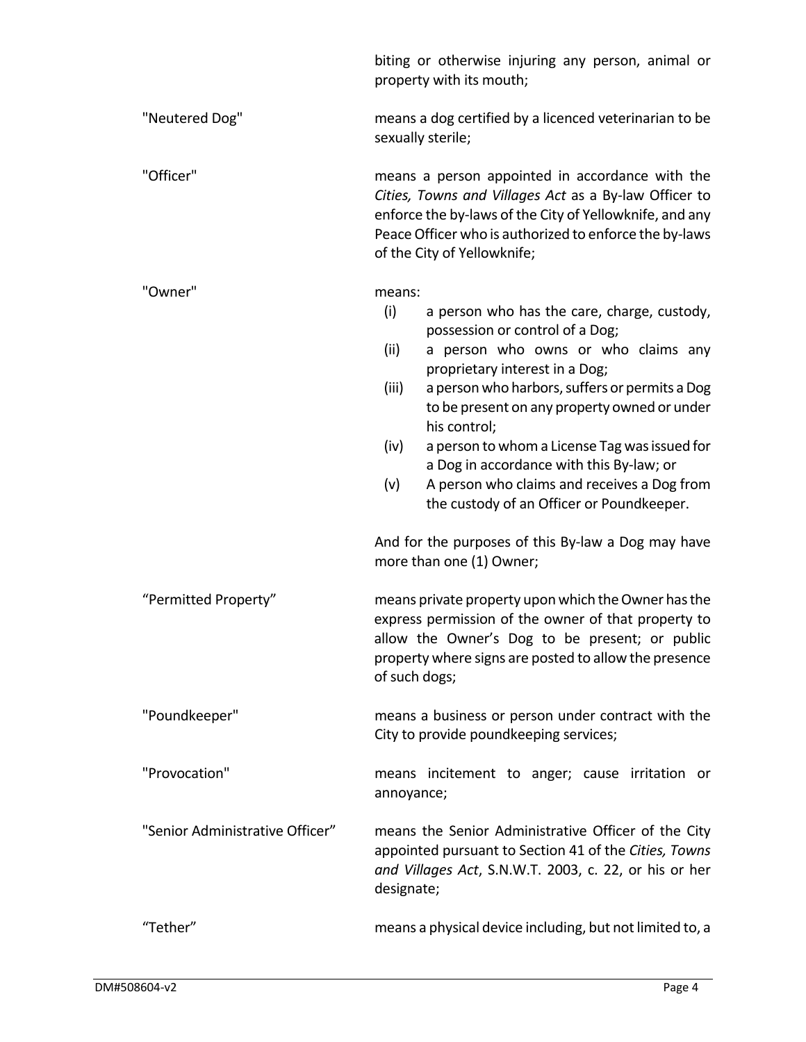|                                 | biting or otherwise injuring any person, animal or<br>property with its mouth;                                                                                                                                                                                                                                                                                                                                                                                                                                                                                                                        |  |  |
|---------------------------------|-------------------------------------------------------------------------------------------------------------------------------------------------------------------------------------------------------------------------------------------------------------------------------------------------------------------------------------------------------------------------------------------------------------------------------------------------------------------------------------------------------------------------------------------------------------------------------------------------------|--|--|
| "Neutered Dog"                  | means a dog certified by a licenced veterinarian to be<br>sexually sterile;                                                                                                                                                                                                                                                                                                                                                                                                                                                                                                                           |  |  |
| "Officer"                       | means a person appointed in accordance with the<br>Cities, Towns and Villages Act as a By-law Officer to<br>enforce the by-laws of the City of Yellowknife, and any<br>Peace Officer who is authorized to enforce the by-laws<br>of the City of Yellowknife;                                                                                                                                                                                                                                                                                                                                          |  |  |
| "Owner"                         | means:<br>(i)<br>a person who has the care, charge, custody,<br>possession or control of a Dog;<br>a person who owns or who claims any<br>(ii)<br>proprietary interest in a Dog;<br>(iii)<br>a person who harbors, suffers or permits a Dog<br>to be present on any property owned or under<br>his control;<br>a person to whom a License Tag was issued for<br>(iv)<br>a Dog in accordance with this By-law; or<br>A person who claims and receives a Dog from<br>(v)<br>the custody of an Officer or Poundkeeper.<br>And for the purposes of this By-law a Dog may have<br>more than one (1) Owner; |  |  |
| "Permitted Property"            | means private property upon which the Owner has the<br>express permission of the owner of that property to<br>allow the Owner's Dog to be present; or public<br>property where signs are posted to allow the presence<br>of such dogs;                                                                                                                                                                                                                                                                                                                                                                |  |  |
| "Poundkeeper"                   | means a business or person under contract with the<br>City to provide poundkeeping services;                                                                                                                                                                                                                                                                                                                                                                                                                                                                                                          |  |  |
| "Provocation"                   | means incitement to anger; cause irritation or<br>annoyance;                                                                                                                                                                                                                                                                                                                                                                                                                                                                                                                                          |  |  |
| "Senior Administrative Officer" | means the Senior Administrative Officer of the City<br>appointed pursuant to Section 41 of the Cities, Towns<br>and Villages Act, S.N.W.T. 2003, c. 22, or his or her<br>designate;                                                                                                                                                                                                                                                                                                                                                                                                                   |  |  |
| "Tether"                        | means a physical device including, but not limited to, a                                                                                                                                                                                                                                                                                                                                                                                                                                                                                                                                              |  |  |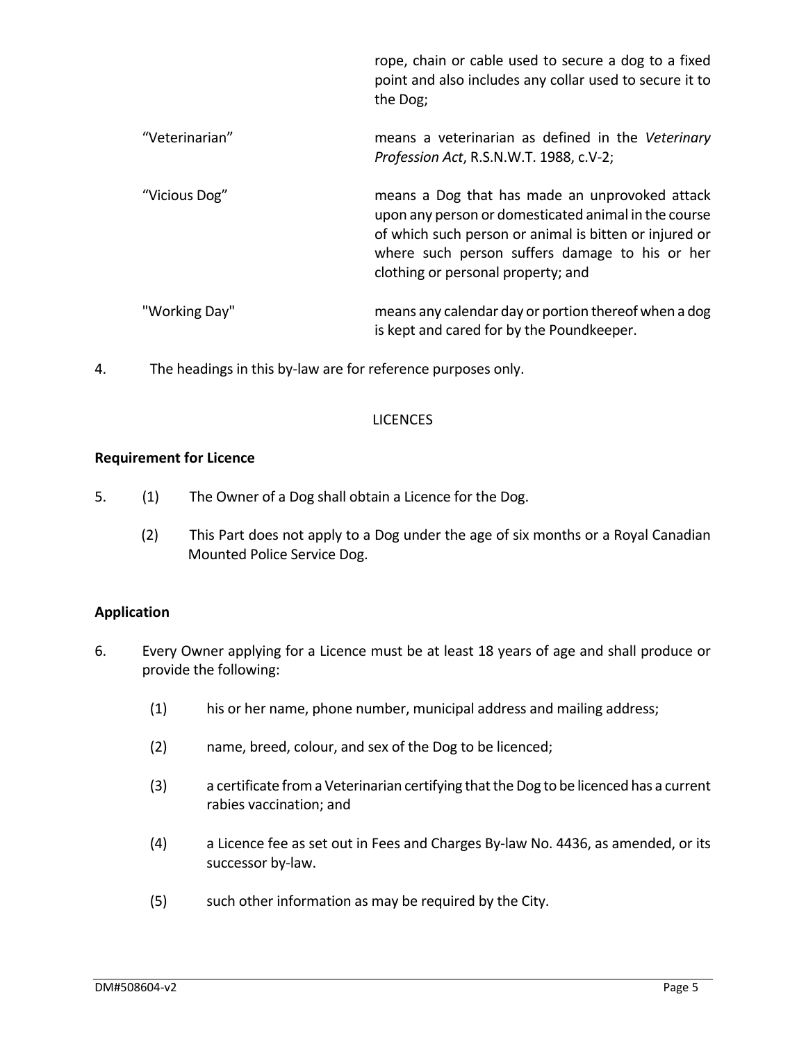|                | rope, chain or cable used to secure a dog to a fixed<br>point and also includes any collar used to secure it to<br>the Dog;                                                                                                                              |
|----------------|----------------------------------------------------------------------------------------------------------------------------------------------------------------------------------------------------------------------------------------------------------|
| "Veterinarian" | means a veterinarian as defined in the Veterinary<br>Profession Act, R.S.N.W.T. 1988, c.V-2;                                                                                                                                                             |
| "Vicious Dog"  | means a Dog that has made an unprovoked attack<br>upon any person or domesticated animal in the course<br>of which such person or animal is bitten or injured or<br>where such person suffers damage to his or her<br>clothing or personal property; and |
| "Working Day"  | means any calendar day or portion thereof when a dog<br>is kept and cared for by the Poundkeeper.                                                                                                                                                        |

<span id="page-5-0"></span>4. The headings in this by-law are for reference purposes only.

#### LICENCES

## **Requirement for Licence**

- 5. (1) The Owner of a Dog shall obtain a Licence for the Dog.
	- (2) This Part does not apply to a Dog under the age of six months or a Royal Canadian Mounted Police Service Dog.

# **Application**

- 6. Every Owner applying for a Licence must be at least 18 years of age and shall produce or provide the following:
	- (1) his or her name, phone number, municipal address and mailing address;
	- (2) name, breed, colour, and sex of the Dog to be licenced;
	- (3) a certificate from a Veterinarian certifying that the Dog to be licenced has a current rabies vaccination; and
	- (4) a Licence fee as set out in Fees and Charges By-law No. 4436, as amended, or its successor by-law.
	- (5) such other information as may be required by the City.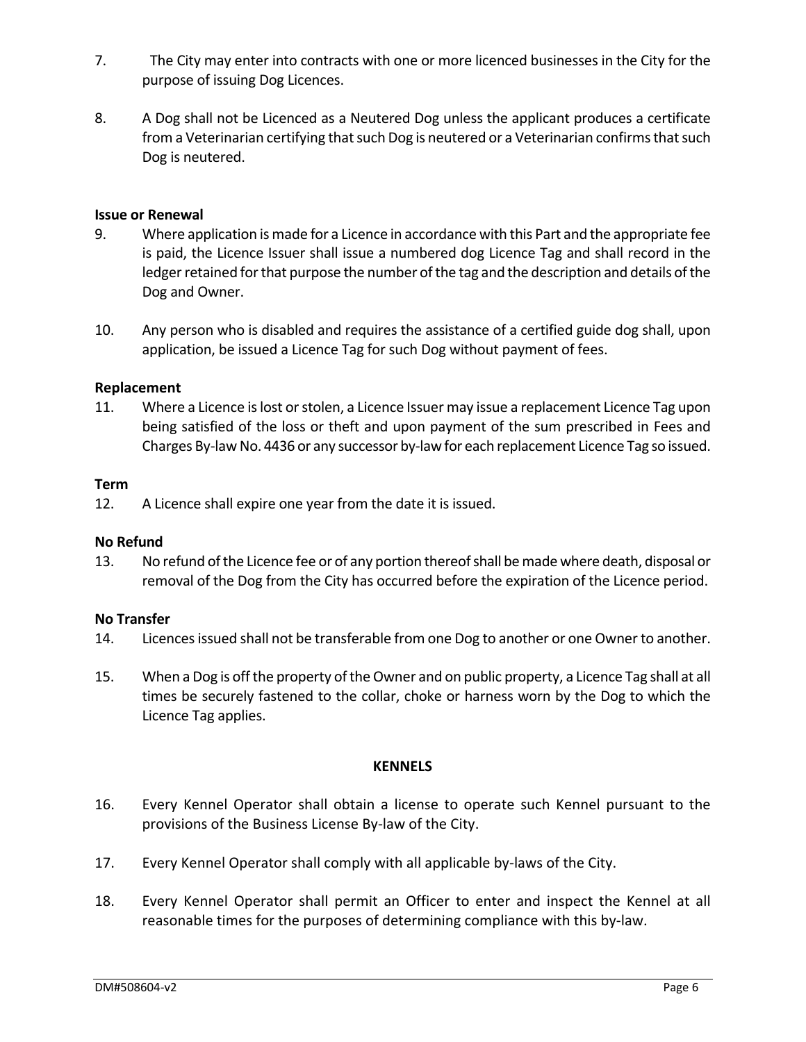- 7. The City may enter into contracts with one or more licenced businesses in the City for the purpose of issuing Dog Licences.
- 8. A Dog shall not be Licenced as a Neutered Dog unless the applicant produces a certificate from a Veterinarian certifying that such Dog is neutered or a Veterinarian confirms that such Dog is neutered.

#### **Issue or Renewal**

- 9. Where application is made for a Licence in accordance with this Part and the appropriate fee is paid, the Licence Issuer shall issue a numbered dog Licence Tag and shall record in the ledger retained for that purpose the number of the tag and the description and details of the Dog and Owner.
- 10. Any person who is disabled and requires the assistance of a certified guide dog shall, upon application, be issued a Licence Tag for such Dog without payment of fees.

#### **Replacement**

11. Where a Licence is lost or stolen, a Licence Issuer may issue a replacement Licence Tag upon being satisfied of the loss or theft and upon payment of the sum prescribed in Fees and Charges By-law No. 4436 or any successor by-law for each replacement Licence Tag so issued.

#### **Term**

12. A Licence shall expire one year from the date it is issued.

#### **No Refund**

13. No refund of the Licence fee or of any portion thereof shall be made where death, disposal or removal of the Dog from the City has occurred before the expiration of the Licence period.

#### **No Transfer**

- 14. Licences issued shall not be transferable from one Dog to another or one Owner to another.
- <span id="page-6-0"></span>15. When a Dog is off the property of the Owner and on public property, a Licence Tag shall at all times be securely fastened to the collar, choke or harness worn by the Dog to which the Licence Tag applies.

#### **KENNELS**

- 16. Every Kennel Operator shall obtain a license to operate such Kennel pursuant to the provisions of the Business License By-law of the City.
- 17. Every Kennel Operator shall comply with all applicable by-laws of the City.
- 18. Every Kennel Operator shall permit an Officer to enter and inspect the Kennel at all reasonable times for the purposes of determining compliance with this by-law.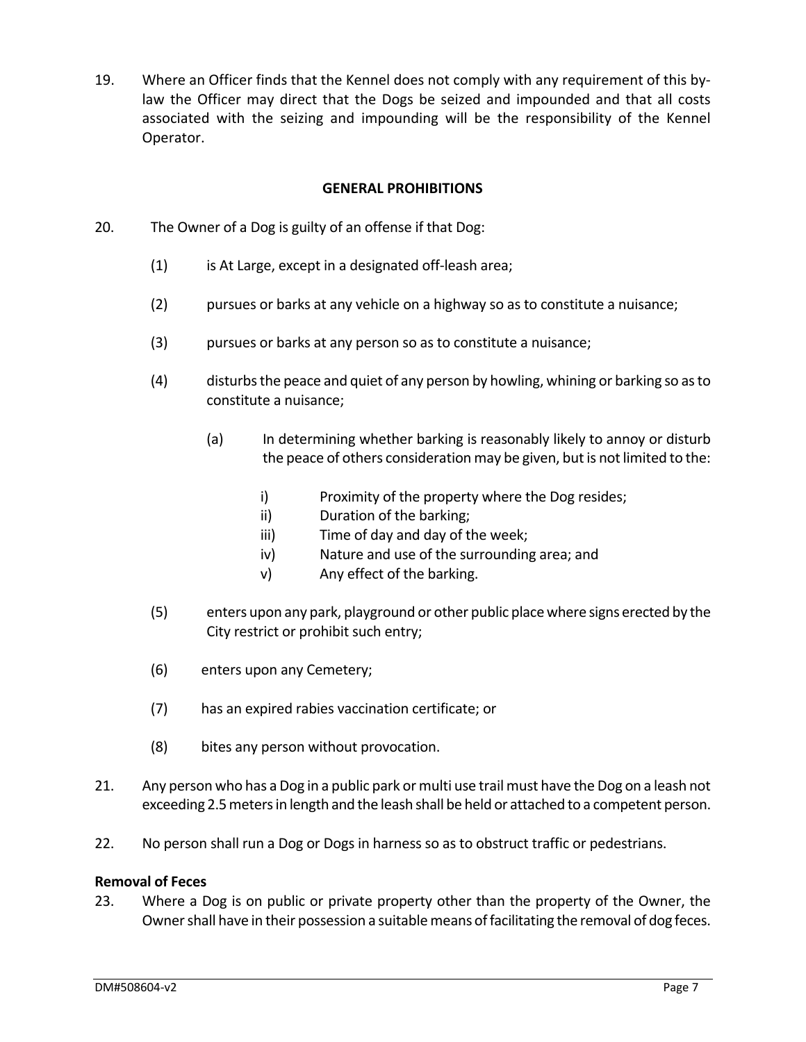19. Where an Officer finds that the Kennel does not comply with any requirement of this bylaw the Officer may direct that the Dogs be seized and impounded and that all costs associated with the seizing and impounding will be the responsibility of the Kennel Operator.

## **GENERAL PROHIBITIONS**

- <span id="page-7-0"></span>20. The Owner of a Dog is guilty of an offense if that Dog:
	- (1) is At Large, except in a designated off-leash area;
	- (2) pursues or barks at any vehicle on a highway so as to constitute a nuisance;
	- (3) pursues or barks at any person so as to constitute a nuisance;
	- (4) disturbs the peace and quiet of any person by howling, whining or barking so as to constitute a nuisance;
		- (a) In determining whether barking is reasonably likely to annoy or disturb the peace of others consideration may be given, but is not limited to the:
			- i) Proximity of the property where the Dog resides;
			- ii) Duration of the barking;
			- iii) Time of day and day of the week;
			- iv) Nature and use of the surrounding area; and
			- v) Any effect of the barking.
	- (5) enters upon any park, playground or other public place where signs erected by the City restrict or prohibit such entry;
	- (6) enters upon any Cemetery;
	- (7) has an expired rabies vaccination certificate; or
	- (8) bites any person without provocation.
- 21. Any person who has a Dog in a public park or multi use trail must have the Dog on a leash not exceeding 2.5 meters in length and the leash shall be held or attached to a competent person.
- 22. No person shall run a Dog or Dogs in harness so as to obstruct traffic or pedestrians.

## **Removal of Feces**

23. Where a Dog is on public or private property other than the property of the Owner, the Owner shall have in their possession a suitable means of facilitating the removal of dog feces.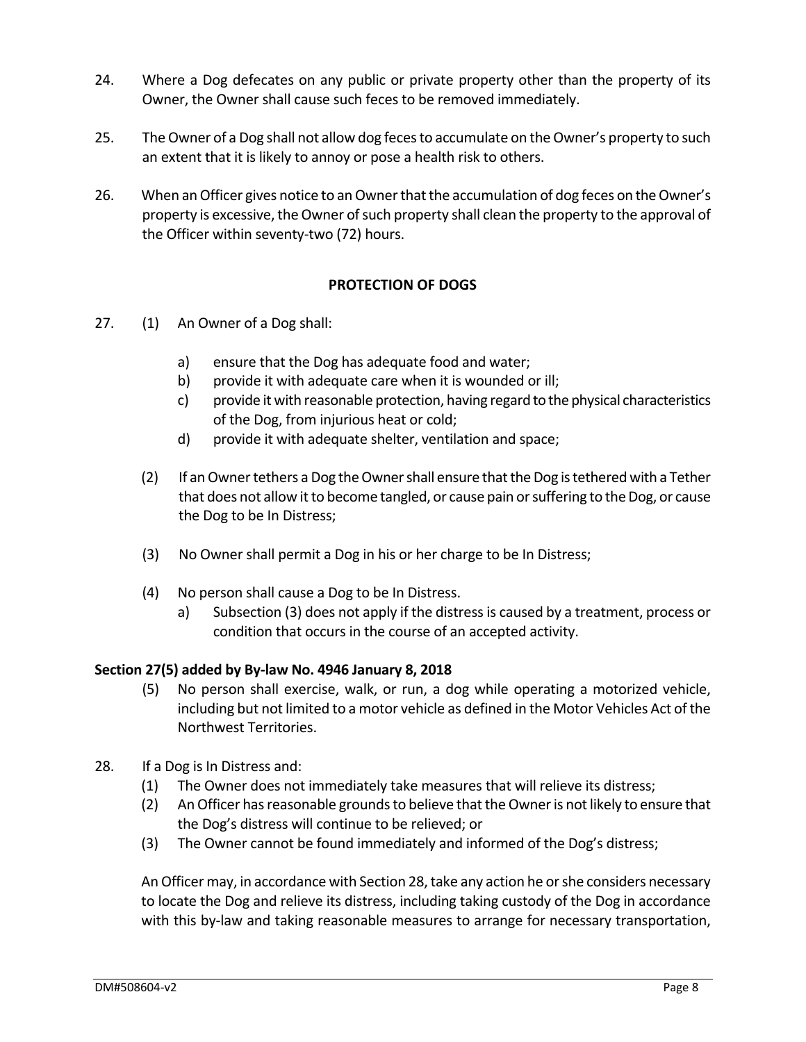- 24. Where a Dog defecates on any public or private property other than the property of its Owner, the Owner shall cause such feces to be removed immediately.
- 25. The Owner of a Dog shall not allow dog feces to accumulate on the Owner's property to such an extent that it is likely to annoy or pose a health risk to others.
- <span id="page-8-0"></span>26. When an Officer gives notice to an Owner that the accumulation of dog feces on the Owner's property is excessive, the Owner of such property shall clean the property to the approval of the Officer within seventy-two (72) hours.

# **PROTECTION OF DOGS**

- 27. (1) An Owner of a Dog shall:
	- a) ensure that the Dog has adequate food and water;
	- b) provide it with adequate care when it is wounded or ill;
	- c) provide it with reasonable protection, having regard to the physical characteristics of the Dog, from injurious heat or cold;
	- d) provide it with adequate shelter, ventilation and space;
	- (2) If an Owner tethers a Dog the Owner shall ensure that the Dog is tethered with a Tether that does not allow it to become tangled, or cause pain or suffering to the Dog, or cause the Dog to be In Distress;
	- (3) No Owner shall permit a Dog in his or her charge to be In Distress;
	- (4) No person shall cause a Dog to be In Distress.
		- a) Subsection (3) does not apply if the distress is caused by a treatment, process or condition that occurs in the course of an accepted activity.

## **Section 27(5) added by By-law No. 4946 January 8, 2018**

- (5) No person shall exercise, walk, or run, a dog while operating a motorized vehicle, including but not limited to a motor vehicle as defined in the Motor Vehicles Act of the Northwest Territories.
- 28. If a Dog is In Distress and:
	- (1) The Owner does not immediately take measures that will relieve its distress;
	- (2) An Officer has reasonable grounds to believe that the Owner is not likely to ensure that the Dog's distress will continue to be relieved; or
	- (3) The Owner cannot be found immediately and informed of the Dog's distress;

An Officer may, in accordance with Section 28, take any action he or she considers necessary to locate the Dog and relieve its distress, including taking custody of the Dog in accordance with this by-law and taking reasonable measures to arrange for necessary transportation,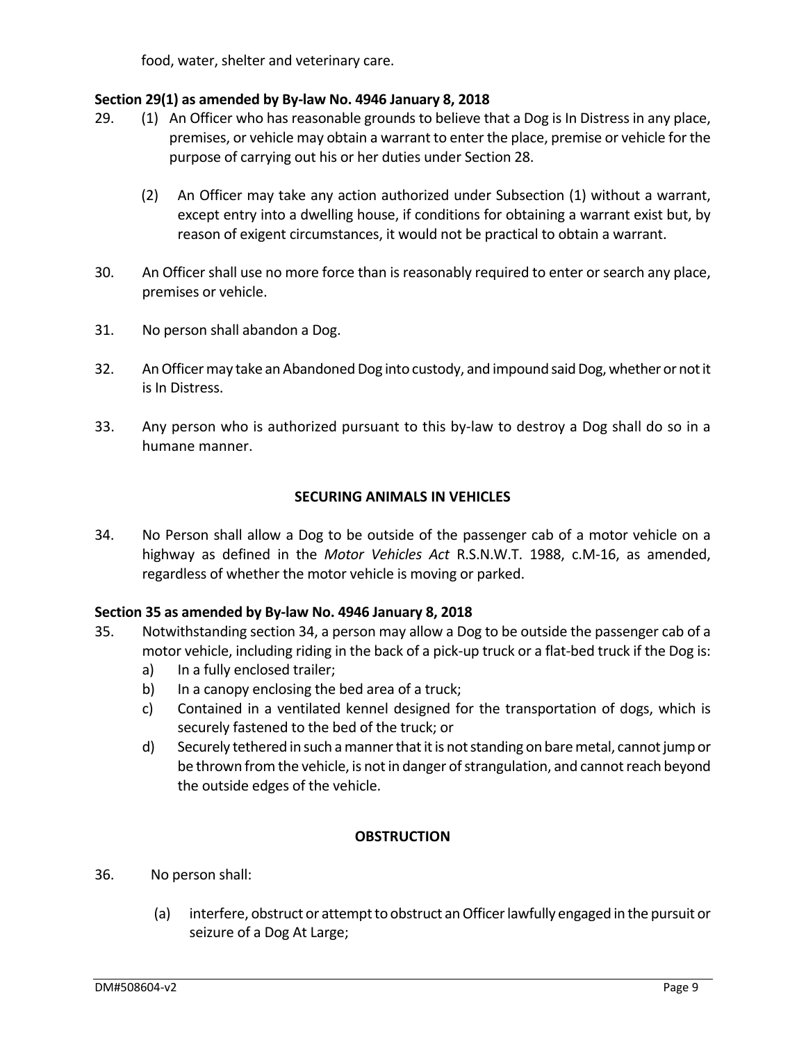food, water, shelter and veterinary care.

# **Section 29(1) as amended by By-law No. 4946 January 8, 2018**

- 29. (1) An Officer who has reasonable grounds to believe that a Dog is In Distress in any place, premises, or vehicle may obtain a warrant to enter the place, premise or vehicle for the purpose of carrying out his or her duties under Section 28.
	- (2) An Officer may take any action authorized under Subsection (1) without a warrant, except entry into a dwelling house, if conditions for obtaining a warrant exist but, by reason of exigent circumstances, it would not be practical to obtain a warrant.
- 30. An Officer shall use no more force than is reasonably required to enter or search any place, premises or vehicle.
- 31. No person shall abandon a Dog.
- 32. An Officer may take an Abandoned Dog into custody, and impound said Dog, whether or not it is In Distress.
- <span id="page-9-0"></span>33. Any person who is authorized pursuant to this by-law to destroy a Dog shall do so in a humane manner.

## **SECURING ANIMALS IN VEHICLES**

34. No Person shall allow a Dog to be outside of the passenger cab of a motor vehicle on a highway as defined in the *Motor Vehicles Act* R.S.N.W.T. 1988, c.M-16, as amended, regardless of whether the motor vehicle is moving or parked.

## **Section 35 as amended by By-law No. 4946 January 8, 2018**

- 35. Notwithstanding section 34, a person may allow a Dog to be outside the passenger cab of a motor vehicle, including riding in the back of a pick-up truck or a flat-bed truck if the Dog is:
	- a) In a fully enclosed trailer;
	- b) In a canopy enclosing the bed area of a truck;
	- c) Contained in a ventilated kennel designed for the transportation of dogs, which is securely fastened to the bed of the truck; or
	- d) Securely tethered in such a manner that it is not standing on bare metal, cannot jump or be thrown from the vehicle, is not in danger of strangulation, and cannot reach beyond the outside edges of the vehicle.

## **OBSTRUCTION**

- <span id="page-9-1"></span>36. No person shall:
	- (a) interfere, obstruct or attempt to obstruct an Officer lawfully engaged in the pursuit or seizure of a Dog At Large;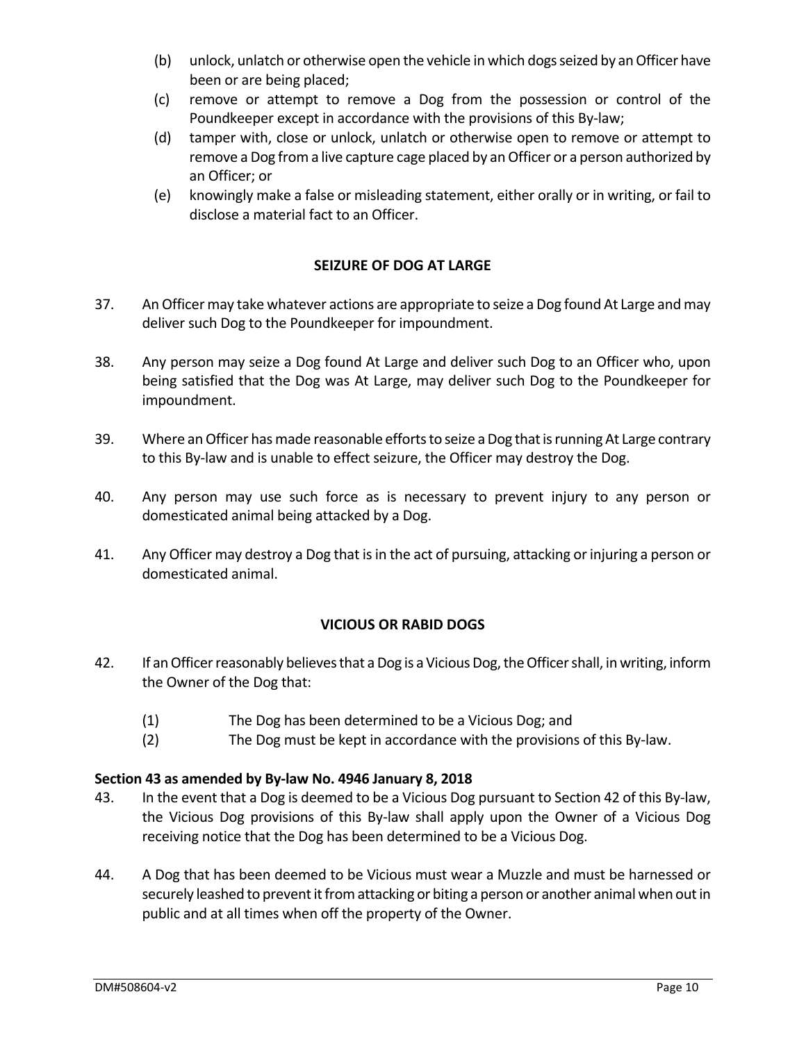- (b) unlock, unlatch or otherwise open the vehicle in which dogs seized by an Officer have been or are being placed;
- (c) remove or attempt to remove a Dog from the possession or control of the Poundkeeper except in accordance with the provisions of this By-law;
- (d) tamper with, close or unlock, unlatch or otherwise open to remove or attempt to remove a Dog from a live capture cage placed by an Officer or a person authorized by an Officer; or
- <span id="page-10-0"></span>(e) knowingly make a false or misleading statement, either orally or in writing, or fail to disclose a material fact to an Officer.

# **SEIZURE OF DOG AT LARGE**

- 37. An Officer may take whatever actions are appropriate to seize a Dog found At Large and may deliver such Dog to the Poundkeeper for impoundment.
- 38. Any person may seize a Dog found At Large and deliver such Dog to an Officer who, upon being satisfied that the Dog was At Large, may deliver such Dog to the Poundkeeper for impoundment.
- 39. Where an Officer has made reasonable efforts to seize a Dog that is running At Large contrary to this By-law and is unable to effect seizure, the Officer may destroy the Dog.
- 40. Any person may use such force as is necessary to prevent injury to any person or domesticated animal being attacked by a Dog.
- <span id="page-10-1"></span>41. Any Officer may destroy a Dog that is in the act of pursuing, attacking or injuring a person or domesticated animal.

# **VICIOUS OR RABID DOGS**

- 42. If an Officer reasonably believes that a Dog is a Vicious Dog, the Officer shall, in writing, inform the Owner of the Dog that:
	- (1) The Dog has been determined to be a Vicious Dog; and
	- (2) The Dog must be kept in accordance with the provisions of this By-law.

# **Section 43 as amended by By-law No. 4946 January 8, 2018**

- 43. In the event that a Dog is deemed to be a Vicious Dog pursuant to Section 42 of this By-law, the Vicious Dog provisions of this By-law shall apply upon the Owner of a Vicious Dog receiving notice that the Dog has been determined to be a Vicious Dog.
- 44. A Dog that has been deemed to be Vicious must wear a Muzzle and must be harnessed or securely leashed to prevent it from attacking or biting a person or another animal when out in public and at all times when off the property of the Owner.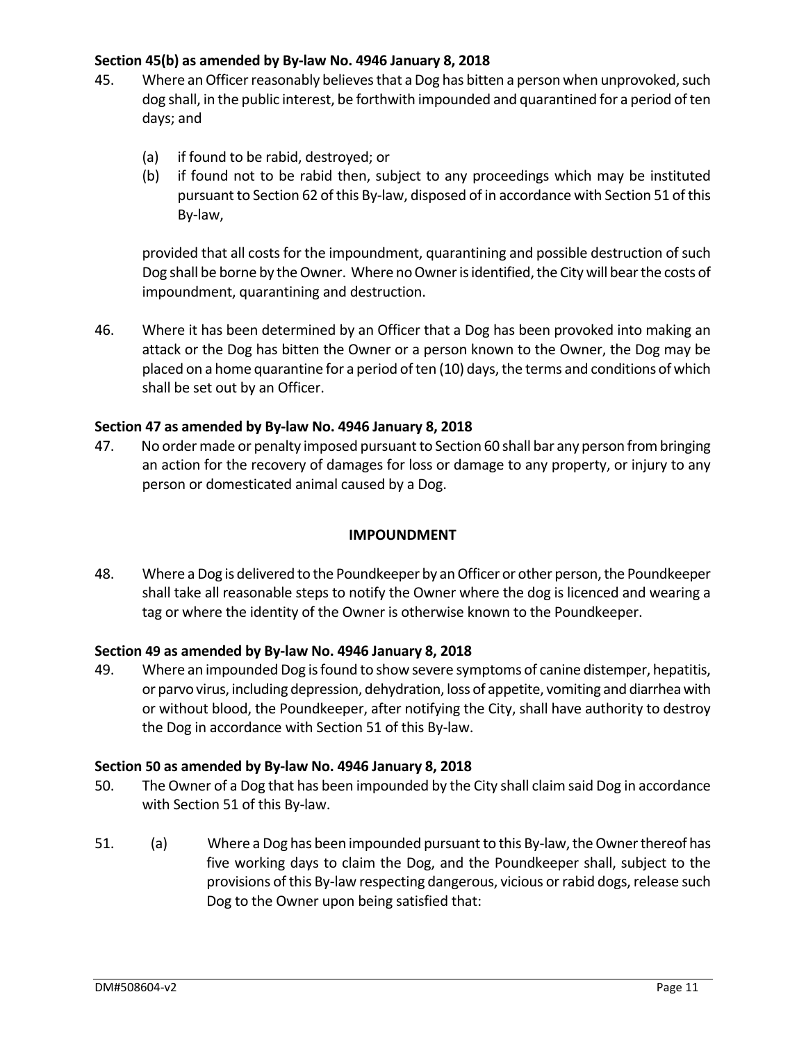## **Section 45(b) as amended by By-law No. 4946 January 8, 2018**

- 45. Where an Officer reasonably believes that a Dog has bitten a person when unprovoked, such dog shall, in the public interest, be forthwith impounded and quarantined for a period of ten days; and
	- (a) if found to be rabid, destroyed; or
	- (b) if found not to be rabid then, subject to any proceedings which may be instituted pursuant to Section 62 of this By-law, disposed of in accordance with Section 51 of this By-law,

provided that all costs for the impoundment, quarantining and possible destruction of such Dog shall be borne by the Owner. Where no Owner is identified, the City will bear the costs of impoundment, quarantining and destruction.

46. Where it has been determined by an Officer that a Dog has been provoked into making an attack or the Dog has bitten the Owner or a person known to the Owner, the Dog may be placed on a home quarantine for a period of ten (10) days, the terms and conditions of which shall be set out by an Officer.

## **Section 47 as amended by By-law No. 4946 January 8, 2018**

<span id="page-11-0"></span>47. No order made or penalty imposed pursuant to Section 60 shall bar any person from bringing an action for the recovery of damages for loss or damage to any property, or injury to any person or domesticated animal caused by a Dog.

## **IMPOUNDMENT**

48. Where a Dog is delivered to the Poundkeeper by an Officer or other person, the Poundkeeper shall take all reasonable steps to notify the Owner where the dog is licenced and wearing a tag or where the identity of the Owner is otherwise known to the Poundkeeper.

## **Section 49 as amended by By-law No. 4946 January 8, 2018**

49. Where an impounded Dog is found to show severe symptoms of canine distemper, hepatitis, or parvo virus, including depression, dehydration, loss of appetite, vomiting and diarrhea with or without blood, the Poundkeeper, after notifying the City, shall have authority to destroy the Dog in accordance with Section 51 of this By-law.

## **Section 50 as amended by By-law No. 4946 January 8, 2018**

- 50. The Owner of a Dog that has been impounded by the City shall claim said Dog in accordance with Section 51 of this By-law.
- 51. (a) Where a Dog has been impounded pursuant to this By-law, the Owner thereof has five working days to claim the Dog, and the Poundkeeper shall, subject to the provisions of this By-law respecting dangerous, vicious or rabid dogs, release such Dog to the Owner upon being satisfied that: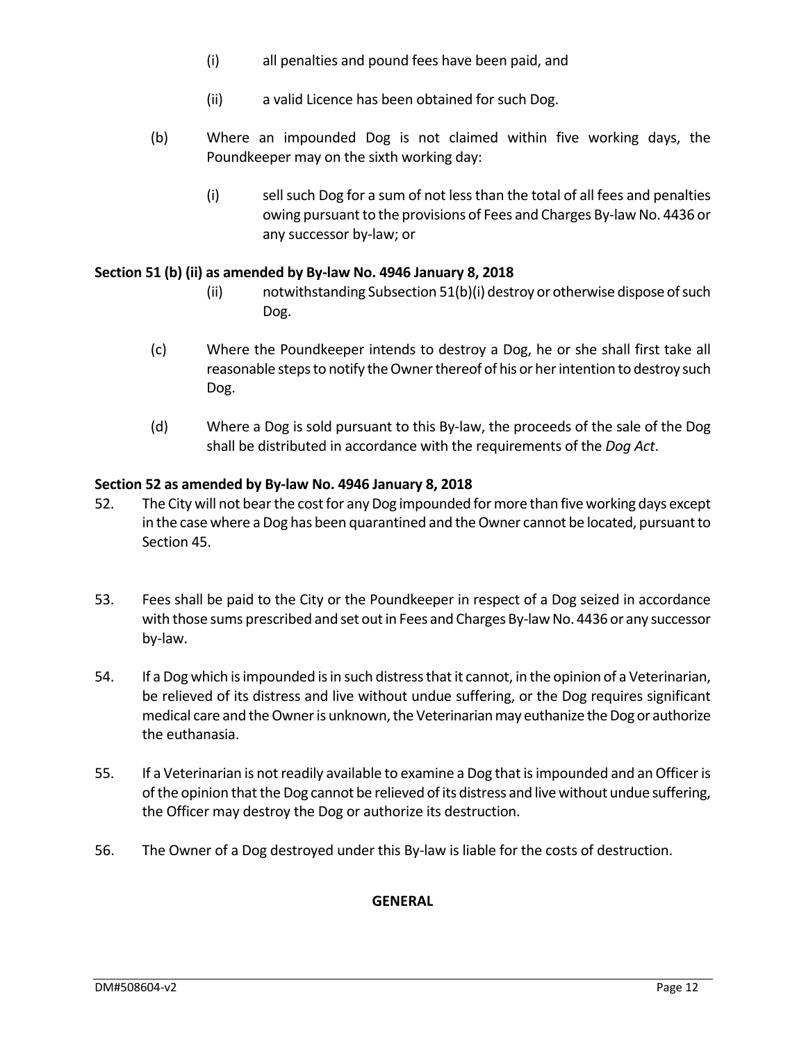- (i) all penalties and pound fees have been paid, and
- (ii) a valid Licence has been obtained for such Dog.
- (b) Where an impounded Dog is not claimed within five working days, the Poundkeeper may on the sixth working day:
	- (i) sell such Dog for a sum of not less than the total of all fees and penalties owing pursuant to the provisions of Fees and Charges By-law No. 4436 or any successor by-law; or

## **Section 51 (b) (ii) as amended by By-law No. 4946 January 8, 2018**

- (ii) notwithstanding Subsection 51(b)(i) destroy or otherwise dispose of such Dog.
- (c) Where the Poundkeeper intends to destroy a Dog, he or she shall first take all reasonable steps to notify the Owner thereof of his or her intention to destroy such Dog.
- (d) Where a Dog is sold pursuant to this By-law, the proceeds of the sale of the Dog shall be distributed in accordance with the requirements of the *Dog Act*.

## **Section 52 as amended by By-law No. 4946 January 8, 2018**

- 52. The City will not bear the cost for any Dog impounded for more than five working days except in the case where a Dog has been quarantined and the Owner cannot be located, pursuant to Section 45.
- 53. Fees shall be paid to the City or the Poundkeeper in respect of a Dog seized in accordance with those sums prescribed and set out in Fees and Charges By-law No. 4436 or any successor by-law.
- 54. If a Dog which is impounded is in such distress that it cannot, in the opinion of a Veterinarian, be relieved of its distress and live without undue suffering, or the Dog requires significant medical care and the Owner is unknown, the Veterinarian may euthanize the Dog or authorize the euthanasia.
- 55. If a Veterinarian is not readily available to examine a Dog that is impounded and an Officer is of the opinion that the Dog cannot be relieved of its distress and live without undue suffering, the Officer may destroy the Dog or authorize its destruction.
- <span id="page-12-0"></span>56. The Owner of a Dog destroyed under this By-law is liable for the costs of destruction.

#### **GENERAL**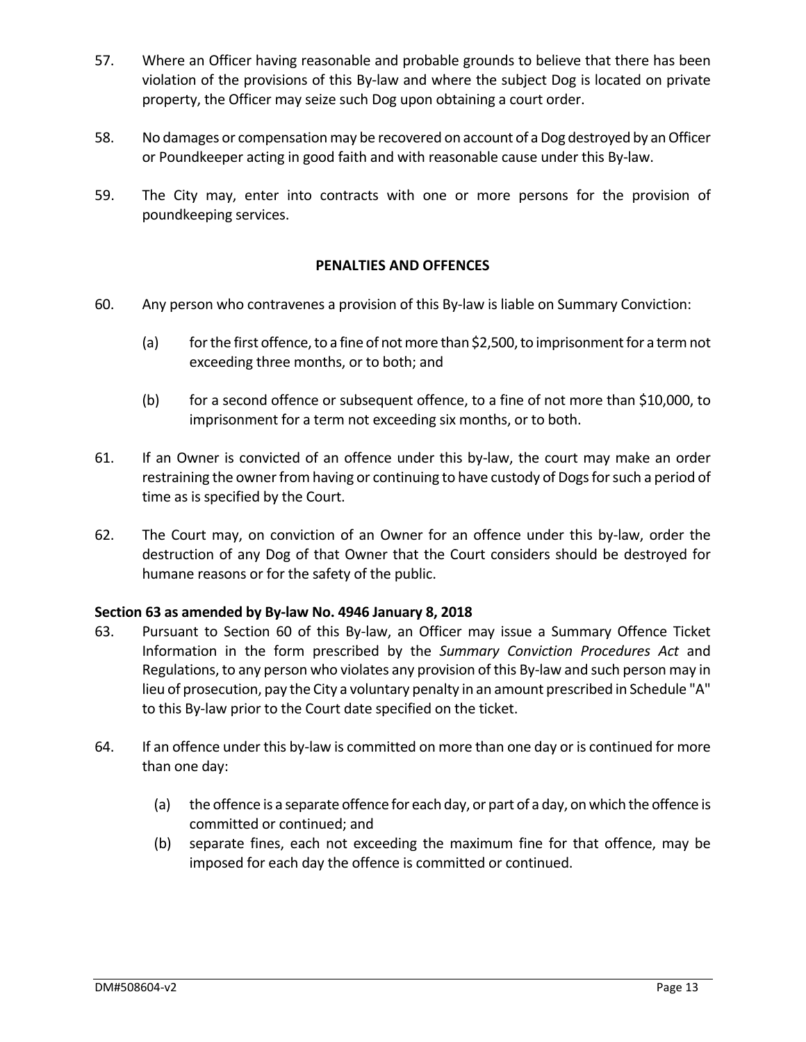- 57. Where an Officer having reasonable and probable grounds to believe that there has been violation of the provisions of this By-law and where the subject Dog is located on private property, the Officer may seize such Dog upon obtaining a court order.
- 58. No damages or compensation may be recovered on account of a Dog destroyed by an Officer or Poundkeeper acting in good faith and with reasonable cause under this By-law.
- <span id="page-13-0"></span>59. The City may, enter into contracts with one or more persons for the provision of poundkeeping services.

## **PENALTIES AND OFFENCES**

- 60. Any person who contravenes a provision of this By-law is liable on Summary Conviction:
	- (a) for the first offence, to a fine of not more than \$2,500, to imprisonment for a term not exceeding three months, or to both; and
	- (b) for a second offence or subsequent offence, to a fine of not more than \$10,000, to imprisonment for a term not exceeding six months, or to both.
- 61. If an Owner is convicted of an offence under this by-law, the court may make an order restraining the owner from having or continuing to have custody of Dogs for such a period of time as is specified by the Court.
- 62. The Court may, on conviction of an Owner for an offence under this by-law, order the destruction of any Dog of that Owner that the Court considers should be destroyed for humane reasons or for the safety of the public.

## **Section 63 as amended by By-law No. 4946 January 8, 2018**

- 63. Pursuant to Section 60 of this By-law, an Officer may issue a Summary Offence Ticket Information in the form prescribed by the *Summary Conviction Procedures Act* and Regulations, to any person who violates any provision of this By-law and such person may in lieu of prosecution, pay the City a voluntary penalty in an amount prescribed in Schedule "A" to this By-law prior to the Court date specified on the ticket.
- <span id="page-13-1"></span>64. If an offence under this by-law is committed on more than one day or is continued for more than one day:
	- (a) the offence is a separate offence for each day, or part of a day, on which the offence is committed or continued; and
	- (b) separate fines, each not exceeding the maximum fine for that offence, may be imposed for each day the offence is committed or continued.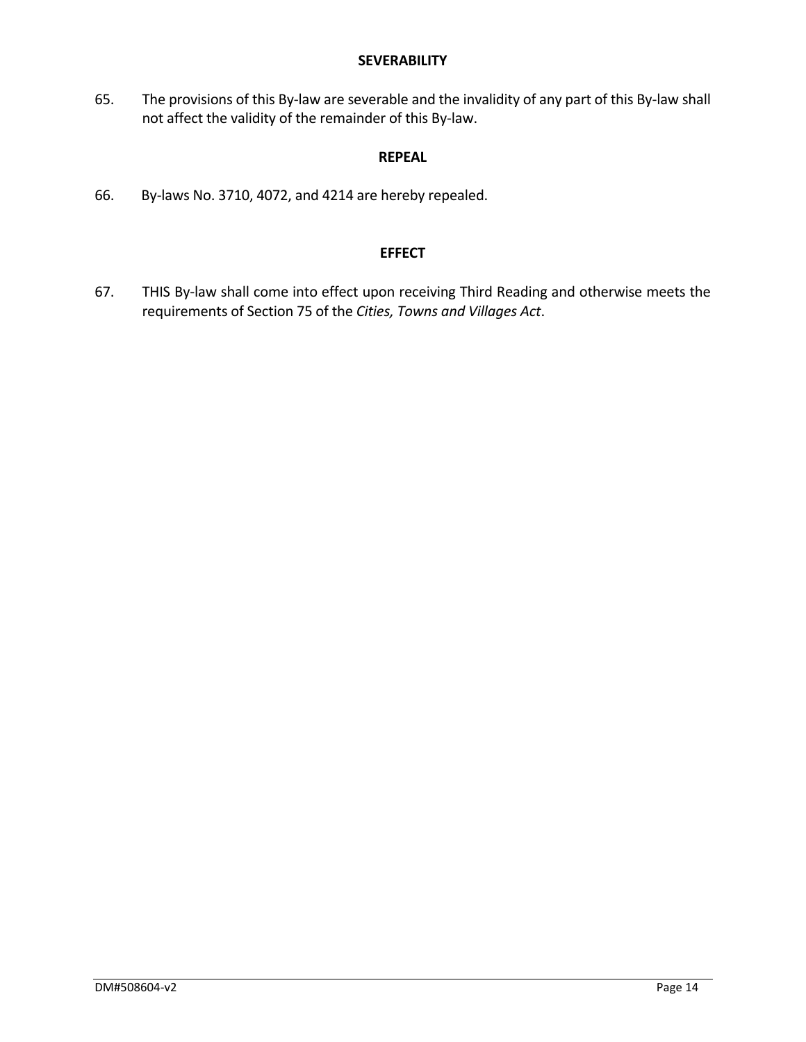#### **SEVERABILITY**

65. The provisions of this By-law are severable and the invalidity of any part of this By-law shall not affect the validity of the remainder of this By-law.

# **REPEAL**

66. By-laws No. 3710, 4072, and 4214 are hereby repealed.

## **EFFECT**

67. THIS By-law shall come into effect upon receiving Third Reading and otherwise meets the requirements of Section 75 of the *Cities, Towns and Villages Act*.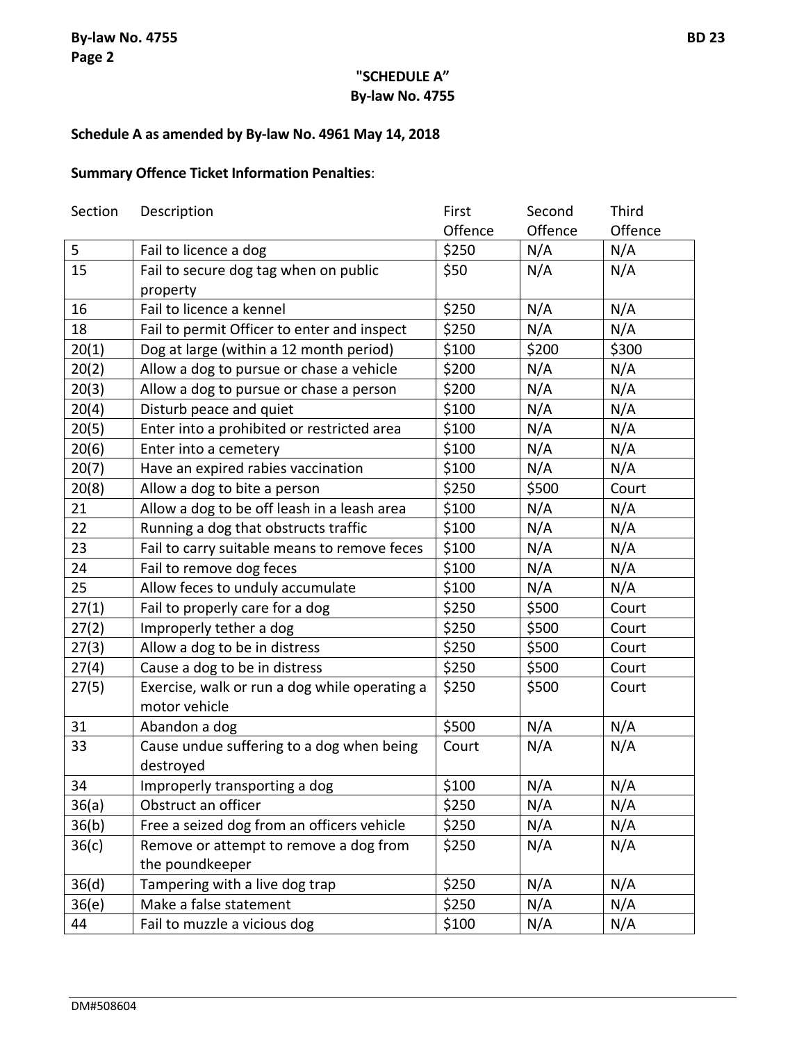# **Schedule A as amended by By-law No. 4961 May 14, 2018**

# **Summary Offence Ticket Information Penalties**:

| Section | Description                                   | First   | Second  | Third   |
|---------|-----------------------------------------------|---------|---------|---------|
|         |                                               | Offence | Offence | Offence |
| 5       | Fail to licence a dog                         | \$250   | N/A     | N/A     |
| 15      | Fail to secure dog tag when on public         | \$50    | N/A     | N/A     |
|         | property                                      |         |         |         |
| 16      | Fail to licence a kennel                      | \$250   | N/A     | N/A     |
| 18      | Fail to permit Officer to enter and inspect   | \$250   | N/A     | N/A     |
| 20(1)   | Dog at large (within a 12 month period)       | \$100   | \$200   | \$300   |
| 20(2)   | Allow a dog to pursue or chase a vehicle      | \$200   | N/A     | N/A     |
| 20(3)   | Allow a dog to pursue or chase a person       | \$200   | N/A     | N/A     |
| 20(4)   | Disturb peace and quiet                       | \$100   | N/A     | N/A     |
| 20(5)   | Enter into a prohibited or restricted area    | \$100   | N/A     | N/A     |
| 20(6)   | Enter into a cemetery                         | \$100   | N/A     | N/A     |
| 20(7)   | Have an expired rabies vaccination            | \$100   | N/A     | N/A     |
| 20(8)   | Allow a dog to bite a person                  | \$250   | \$500   | Court   |
| 21      | Allow a dog to be off leash in a leash area   | \$100   | N/A     | N/A     |
| 22      | Running a dog that obstructs traffic          | \$100   | N/A     | N/A     |
| 23      | Fail to carry suitable means to remove feces  | \$100   | N/A     | N/A     |
| 24      | Fail to remove dog feces                      | \$100   | N/A     | N/A     |
| 25      | Allow feces to unduly accumulate              | \$100   | N/A     | N/A     |
| 27(1)   | Fail to properly care for a dog               | \$250   | \$500   | Court   |
| 27(2)   | Improperly tether a dog                       | \$250   | \$500   | Court   |
| 27(3)   | Allow a dog to be in distress                 | \$250   | \$500   | Court   |
| 27(4)   | Cause a dog to be in distress                 | \$250   | \$500   | Court   |
| 27(5)   | Exercise, walk or run a dog while operating a | \$250   | \$500   | Court   |
|         | motor vehicle                                 |         |         |         |
| 31      | Abandon a dog                                 | \$500   | N/A     | N/A     |
| 33      | Cause undue suffering to a dog when being     | Court   | N/A     | N/A     |
|         | destroyed                                     |         |         |         |
| 34      | Improperly transporting a dog                 | \$100   | N/A     | N/A     |
| 36(a)   | Obstruct an officer                           | \$250   | N/A     | N/A     |
| 36(b)   | Free a seized dog from an officers vehicle    | \$250   | N/A     | N/A     |
| 36(c)   | Remove or attempt to remove a dog from        | \$250   | N/A     | N/A     |
|         | the poundkeeper                               |         |         |         |
| 36(d)   | Tampering with a live dog trap                | \$250   | N/A     | N/A     |
| 36(e)   | Make a false statement                        | \$250   | N/A     | N/A     |
| 44      | Fail to muzzle a vicious dog                  | \$100   | N/A     | N/A     |